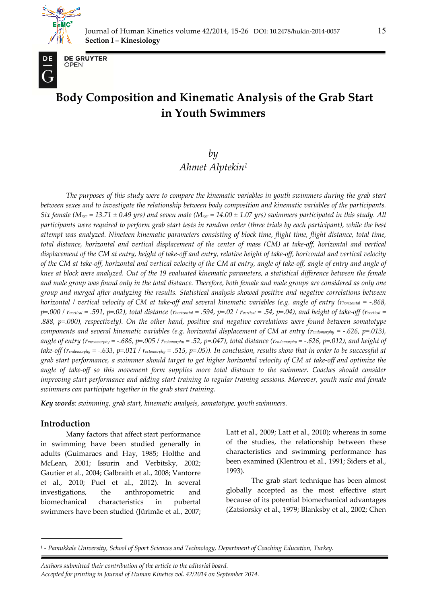

**DE GRUYTER OPEN** 

# **Body Composition and Kinematic Analysis of the Grab Start in Youth Swimmers**

# *by Ahmet Alptekin1*

*The purposes of this study were to compare the kinematic variables in youth swimmers during the grab start between sexes and to investigate the relationship between body composition and kinematic variables of the participants. Six female (Mage = 13.71*  $\pm$  *0.49 yrs) and seven male (Mage = 14.00*  $\pm$  *1.07 yrs) swimmers participated in this study. All participants were required to perform grab start tests in random order (three trials by each participant), while the best attempt was analyzed. Nineteen kinematic parameters consisting of block time, flight time, flight distance, total time, total distance, horizontal and vertical displacement of the center of mass (CM) at take-off, horizontal and vertical displacement of the CM at entry, height of take-off and entry, relative height of take-off, horizontal and vertical velocity of the CM at take-off, horizontal and vertical velocity of the CM at entry, angle of take-off, angle of entry and angle of knee at block were analyzed. Out of the 19 evaluated kinematic parameters, a statistical difference between the female and male group was found only in the total distance. Therefore, both female and male groups are considered as only one group and merged after analyzing the results. Statistical analysis showed positive and negative correlations between horizontal / vertical velocity of CM at take-off and several kinematic variables (e.g. angle of entry (rhorizontal = -.868,*   $p=000$  /  $r_{vertical} = .591$ ,  $p=02$ ), total distance ( $r_{horizontal} = .594$ ,  $p=02$  /  $r_{vertical} = .54$ ,  $p=04$ ), and height of take-off ( $r_{vertical} =$ *.888, p=.000), respectively). On the other hand, positive and negative correlations were found between somatotype components and several kinematic variables (e.g. horizontal displacement of CM at entry (rendomorphy = -.626, p=.013), angle of entry (rmesomorphy = -.686, p=.005 / rectomorphy = .52, p=.047), total distance (rendomorphy = -.626, p=.012), and height of*   $take-off (rendomorphy = -.633, p=.011 / recomorphy = .515, p=.05)$ ). In conclusion, results show that in order to be successful at *grab start performance, a swimmer should target to get higher horizontal velocity of CM at take-off and optimize the angle of take-off so this movement form supplies more total distance to the swimmer. Coaches should consider improving start performance and adding start training to regular training sessions. Moreover, youth male and female swimmers can participate together in the grab start training.* 

*Key words: swimming, grab start, kinematic analysis, somatotype, youth swimmers.* 

# **Introduction**

*.* 

Many factors that affect start performance in swimming have been studied generally in adults (Guimaraes and Hay, 1985; Holthe and McLean, 2001; Issurin and Verbitsky, 2002; Gautier et al., 2004; Galbraith et al., 2008; Vantorre et al., 2010; Puel et al., 2012). In several investigations, the anthropometric and biomechanical characteristics in pubertal swimmers have been studied (Jürimäe et al., 2007;

Latt et al., 2009; Latt et al., 2010); whereas in some of the studies, the relationship between these characteristics and swimming performance has been examined (Klentrou et al., 1991; Siders et al., 1993).

The grab start technique has been almost globally accepted as the most effective start because of its potential biomechanical advantages (Zatsiorsky et al., 1979; Blanksby et al., 2002; Chen

*Authors submitted their contribution of the article to the editorial board.* 

<sup>1 -</sup> *Pamukkale University, School of Sport Sciences and Technology, Department of Coaching Education, Turkey.* 

*Accepted for printing in Journal of Human Kinetics vol. 42/2014 on September 2014.*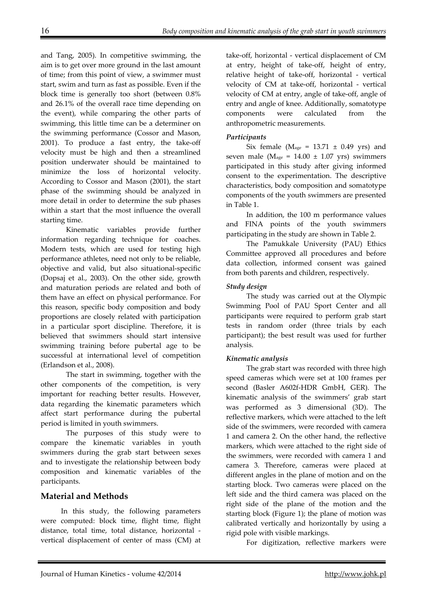and Tang, 2005). In competitive swimming, the aim is to get over more ground in the last amount of time; from this point of view, a swimmer must start, swim and turn as fast as possible. Even if the block time is generally too short (between 0.8% and 26.1% of the overall race time depending on the event), while comparing the other parts of swimming, this little time can be a determiner on the swimming performance (Cossor and Mason, 2001). To produce a fast entry, the take-off velocity must be high and then a streamlined position underwater should be maintained to minimize the loss of horizontal velocity. According to Cossor and Mason (2001), the start phase of the swimming should be analyzed in more detail in order to determine the sub phases within a start that the most influence the overall starting time.

Kinematic variables provide further information regarding technique for coaches. Modern tests, which are used for testing high performance athletes, need not only to be reliable, objective and valid, but also situational-specific (Dopsaj et al., 2003). On the other side, growth and maturation periods are related and both of them have an effect on physical performance. For this reason, specific body composition and body proportions are closely related with participation in a particular sport discipline. Therefore, it is believed that swimmers should start intensive swimming training before pubertal age to be successful at international level of competition (Erlandson et al., 2008).

The start in swimming, together with the other components of the competition, is very important for reaching better results. However, data regarding the kinematic parameters which affect start performance during the pubertal period is limited in youth swimmers.

The purposes of this study were to compare the kinematic variables in youth swimmers during the grab start between sexes and to investigate the relationship between body composition and kinematic variables of the participants.

# **Material and Methods**

In this study, the following parameters were computed: block time, flight time, flight distance, total time, total distance, horizontal vertical displacement of center of mass (CM) at take-off, horizontal - vertical displacement of CM at entry, height of take-off, height of entry, relative height of take-off, horizontal - vertical velocity of CM at take-off, horizontal - vertical velocity of CM at entry, angle of take-off, angle of entry and angle of knee. Additionally, somatotype components were calculated from the anthropometric measurements.

# *Participants*

Six female ( $M<sub>age</sub> = 13.71 \pm 0.49$  yrs) and seven male ( $M<sub>age</sub> = 14.00 \pm 1.07$  yrs) swimmers participated in this study after giving informed consent to the experimentation. The descriptive characteristics, body composition and somatotype components of the youth swimmers are presented in Table 1.

In addition, the 100 m performance values and FINA points of the youth swimmers participating in the study are shown in Table 2.

The Pamukkale University (PAU) Ethics Committee approved all procedures and before data collection, informed consent was gained from both parents and children, respectively.

### *Study design*

The study was carried out at the Olympic Swimming Pool of PAU Sport Center and all participants were required to perform grab start tests in random order (three trials by each participant); the best result was used for further analysis.

# *Kinematic analysis*

The grab start was recorded with three high speed cameras which were set at 100 frames per second (Basler A602f-HDR GmbH, GER). The kinematic analysis of the swimmers' grab start was performed as 3 dimensional (3D). The reflective markers, which were attached to the left side of the swimmers, were recorded with camera 1 and camera 2. On the other hand, the reflective markers, which were attached to the right side of the swimmers, were recorded with camera 1 and camera 3. Therefore, cameras were placed at different angles in the plane of motion and on the starting block. Two cameras were placed on the left side and the third camera was placed on the right side of the plane of the motion and the starting block (Figure 1); the plane of motion was calibrated vertically and horizontally by using a rigid pole with visible markings.

For digitization, reflective markers were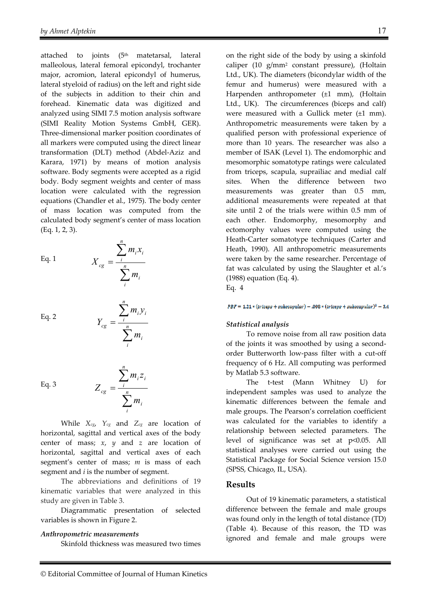attached to joints  $(5<sup>th</sup>$  matetarsal, lateral malleolous, lateral femoral epicondyl, trochanter major, acromion, lateral epicondyl of humerus, lateral styeloid of radius) on the left and right side of the subjects in addition to their chin and forehead. Kinematic data was digitized and analyzed using SIMI 7.5 motion analysis software (SIMI Reality Motion Systems GmbH, GER). Three-dimensional marker position coordinates of all markers were computed using the direct linear transformation (DLT) method (Abdel-Aziz and Karara, 1971) by means of motion analysis software. Body segments were accepted as a rigid body. Body segment weights and center of mass location were calculated with the regression equations (Chandler et al., 1975). The body center of mass location was computed from the calculated body segment's center of mass location (Eq. 1, 2, 3).

Eq. 1

Eq. 2

$$
Y_{cg} = \frac{\sum_{i} m_i y_i}{\sum_{i}^{n} m_i}
$$

 $\sum$ 

*i*

*m*

 $i^{\mathcal{A}}i$ 

 $m_i x$ 

*i*

*n*

 $\sum$  $=\frac{i}{n}$ 

*i*

*cg*

*X*

*n*

Eq. 3

While *Xcg*, *Ycg* and *Zcg* are location of horizontal, sagittal and vertical axes of the body center of mass; *x*, *y* and *z* are location of horizontal, sagittal and vertical axes of each segment's center of mass; *m* is mass of each segment and *i* is the number of segment.

 $\sum$ 

*i*

*m*

 $m<sub>i</sub>z$ 

 $i \leftarrow i$ 

*i*

 $\sum$  $=\frac{i}{n}$ 

*i*

*cg*

*Z*

The abbreviations and definitions of 19 kinematic variables that were analyzed in this study are given in Table 3.

Diagrammatic presentation of selected variables is shown in Figure 2.

#### *Anthropometric measurements*

Skinfold thickness was measured two times

on the right side of the body by using a skinfold caliper (10 g/mm2 constant pressure), (Holtain Ltd., UK). The diameters (bicondylar width of the femur and humerus) were measured with a Harpenden anthropometer (±1 mm), (Holtain Ltd., UK). The circumferences (biceps and calf) were measured with a Gullick meter  $(\pm 1 \text{ mm})$ . Anthropometric measurements were taken by a qualified person with professional experience of more than 10 years. The researcher was also a member of ISAK (Level 1). The endomorphic and mesomorphic somatotype ratings were calculated from triceps, scapula, suprailiac and medial calf sites. When the difference between two measurements was greater than 0.5 mm, additional measurements were repeated at that site until 2 of the trials were within 0.5 mm of each other. Endomorphy, mesomorphy and ectomorphy values were computed using the Heath-Carter somatotype techniques (Carter and Heath, 1990). All anthropometric measurements were taken by the same researcher. Percentage of fat was calculated by using the Slaughter et al.'s (1988) equation (Eq. 4).

Eq. 4

#### $PBF = 1.21 * (triceps + subscapular) - .008 * (triceps + subscapular)^2 - 3.4$

#### *Statistical analysis*

To remove noise from all raw position data of the joints it was smoothed by using a secondorder Butterworth low-pass filter with a cut-off frequency of 6 Hz. All computing was performed by Matlab 5.3 software.

The t-test (Mann Whitney U) for independent samples was used to analyze the kinematic differences between the female and male groups. The Pearson's correlation coefficient was calculated for the variables to identify a relationship between selected parameters. The level of significance was set at p<0.05. All statistical analyses were carried out using the Statistical Package for Social Science version 15.0 (SPSS, Chicago, IL, USA).

#### **Results**

Out of 19 kinematic parameters, a statistical difference between the female and male groups was found only in the length of total distance (TD) (Table 4). Because of this reason, the TD was ignored and female and male groups were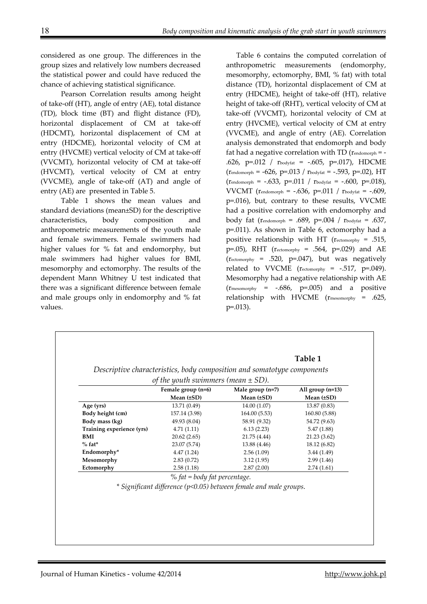considered as one group. The differences in the group sizes and relatively low numbers decreased the statistical power and could have reduced the chance of achieving statistical significance.

Pearson Correlation results among height of take-off (HT), angle of entry (AE), total distance (TD), block time (BT) and flight distance (FD), horizontal displacement of CM at take-off (HDCMT), horizontal displacement of CM at entry (HDCME), horizontal velocity of CM at entry (HVCME) vertical velocity of CM at take-off (VVCMT), horizontal velocity of CM at take-off (HVCMT), vertical velocity of CM at entry (VVCME), angle of take-off (AT) and angle of entry (AE) are presented in Table 5.

Table 1 shows the mean values and standard deviations (mean±SD) for the descriptive characteristics, body composition and anthropometric measurements of the youth male and female swimmers. Female swimmers had higher values for % fat and endomorphy, but male swimmers had higher values for BMI, mesomorphy and ectomorphy. The results of the dependent Mann Whitney U test indicated that there was a significant difference between female and male groups only in endomorphy and % fat values.

Table 6 contains the computed correlation of anthropometric measurements (endomorphy, mesomorphy, ectomorphy, BMI, % fat) with total distance (TD), horizontal displacement of CM at entry (HDCME), height of take-off (HT), relative height of take-off (RHT), vertical velocity of CM at take-off (VVCMT), horizontal velocity of CM at entry (HVCME), vertical velocity of CM at entry (VVCME), and angle of entry (AE). Correlation analysis demonstrated that endomorph and body fat had a negative correlation with  $TD$  ( $r_{\text{endomorph}} = -$ .626, p=.012 /  $r_{bodyfat} = -.605$ , p=.017), HDCME  $(r_{\text{endomorph}} = -626, p = .013 / r_{\text{bodyfat}} = -.593, p = .02), HT$  $(r_{\text{endomorph}} = -.633, p=.011 / \text{r}$ bodyfat = -.600, p=.018), VVCMT ( $r_{\text{endomorph}} = -.636, p=.011 / r_{\text{bodyfat}} = -.609,$ p=.016), but, contrary to these results, VVCME had a positive correlation with endomorphy and body fat ( $r_{\text{endomorph}} = .689$ ,  $p=.004 / r_{\text{bodyfat}} = .637$ , p=.011). As shown in Table 6, ectomorphy had a positive relationship with HT ( $r_{\text{ectomorphy}} = .515$ ,  $p=.05$ ), RHT (rectomorphy = .564,  $p=.029$ ) and AE  $(rectomorphy = .520, p=.047)$ , but was negatively related to VVCME ( $r_{\text{ectomorphy}} = -.517$ ,  $p=.049$ ). Mesomorphy had a negative relationship with AE  $(r_{\rm mesomorphy} = -.686, p=.005)$  and a positive relationship with HVCME (rmesomorphy = .625, p=.013).

|                           | Descriptive characteristics, body composition and somatotype components |                    | Table 1            |
|---------------------------|-------------------------------------------------------------------------|--------------------|--------------------|
|                           | of the youth swimmers (mean $\pm$ SD).                                  |                    |                    |
|                           | Female group (n=6)                                                      | Male group $(n=7)$ | All group $(n=13)$ |
|                           | Mean $(\pm SD)$                                                         | Mean $(\pm SD)$    | Mean $(\pm SD)$    |
| Age (yrs)                 | 13.71 (0.49)                                                            | 14.00 (1.07)       | 13.87 (0.83)       |
| Body height (cm)          | 157.14 (3.98)                                                           | 164.00(5.53)       | 160.80 (5.88)      |
| Body mass (kg)            | 49.93 (8.04)                                                            | 58.91 (9.32)       | 54.72 (9.63)       |
| Training experience (yrs) | 4.71(1.11)                                                              | 6.13(2.23)         | 5.47(1.88)         |
| BMI                       | 20.62(2.65)                                                             | 21.75 (4.44)       | 21.23 (3.62)       |
| $%$ fat*                  | 23.07 (5.74)                                                            | 13.88 (4.46)       | 18.12 (6.82)       |
| Endomorphy*               | 4.47(1.24)                                                              | 2.56(1.09)         | 3.44(1.49)         |
| Mesomorphy                | 2.83(0.72)                                                              | 3.12(1.95)         | 2.99(1.46)         |
| Ectomorphy                | 2.58(1.18)                                                              | 2.87(2.00)         | 2.74(1.61)         |
|                           | $\%$ fat = body fat percentage.                                         |                    |                    |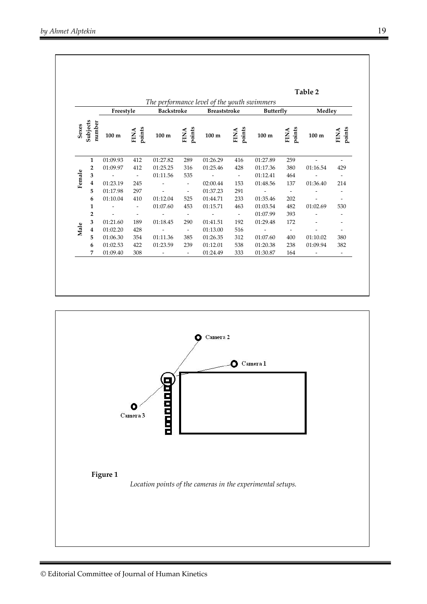|        |                         |                          |                          |                          |                          |                                                                    |                |                 |                          | Table 2         |                          |
|--------|-------------------------|--------------------------|--------------------------|--------------------------|--------------------------|--------------------------------------------------------------------|----------------|-----------------|--------------------------|-----------------|--------------------------|
|        |                         | Freestyle                |                          | <b>Backstroke</b>        |                          | The performance level of the youth swimmers<br><b>Breaststroke</b> |                | Butterfly       |                          | Medley          |                          |
| Sexes  | Subjects<br>number      | $100 \text{ m}$          | points<br>FINA           | $100 \text{ m}$          | points<br>FINA           | $100 \text{ m}$                                                    | points<br>FINA | $100 \text{ m}$ | points<br>FINA           | $100 \text{ m}$ | points<br><b>FINA</b>    |
|        | $\mathbf{1}$            | 01:09.93                 | 412                      | 01:27.82                 | 289                      | 01:26.29                                                           | 416            | 01:27.89        | 259                      | ÷,              | $\overline{\phantom{a}}$ |
|        | $\overline{2}$          | 01:09.97                 | 412                      | 01:25.25                 | 316                      | 01:25.46                                                           | 428            | 01:17.36        | 380                      | 01:16.54        | 429                      |
|        | 3                       | $\overline{\phantom{a}}$ | $\omega$                 | 01:11.56                 | 535                      | $\overline{\phantom{a}}$                                           | $\sim$         | 01:12.41        | 464                      | ÷,              | $\sim$                   |
| Female | $\overline{\mathbf{4}}$ | 01:23.19                 | 245                      |                          | $\overline{\phantom{a}}$ | 02:00.44                                                           | 153            | 01:48.56        | 137                      | 01:36.40        | 214                      |
|        | 5                       | 01:17.98                 | 297                      |                          | $\overline{\phantom{a}}$ | 01:37.23                                                           | 291            |                 | $\overline{\phantom{a}}$ |                 | $\overline{\phantom{a}}$ |
|        | 6                       | 01:10.04                 | 410                      | 01:12.04                 | 525                      | 01:44.71                                                           | 233            | 01:35.46        | 202                      |                 | $\overline{\phantom{a}}$ |
|        | $\mathbf{1}$            |                          | $\overline{\phantom{a}}$ | 01:07.60                 | 453                      | 01:15.71                                                           | 463            | 01:03.54        | 482                      | 01:02.69        | 530                      |
|        | $\overline{2}$          |                          | $\overline{a}$           |                          | $\overline{\phantom{a}}$ | $\frac{1}{2}$                                                      | $\omega$       | 01:07.99        | 393                      |                 |                          |
|        | 3                       | 01:21.60                 | 189                      | 01:18.45                 | 290                      | 01:41.51                                                           | 192            | 01:29.48        | 172                      | ۰               | $\overline{\phantom{a}}$ |
| Male   | $\boldsymbol{4}$        | 01:02.20                 | 428                      | $\overline{\phantom{a}}$ | $\overline{\phantom{a}}$ | 01:13.00                                                           | 516            | $\sim$          | $\overline{\phantom{a}}$ | ۳               | $\overline{\phantom{a}}$ |
|        | 5                       | 01:06.30                 | 354                      | 01:11.36                 | 385                      | 01:26.35                                                           | 312            | 01:07.60        | 400                      | 01:10.02        | 380                      |
|        | 6                       | 01:02.53                 | 422                      | 01:23.59                 | 239                      | 01:12.01                                                           | 538            | 01:20.38        | 238                      | 01:09.94        | 382                      |
|        | 7                       | 01:09.40                 | 308                      | $\overline{\phantom{a}}$ | $\overline{\phantom{a}}$ | 01:24.49                                                           | 333            | 01:30.87        | 164                      | ÷,              | $\overline{\phantom{a}}$ |

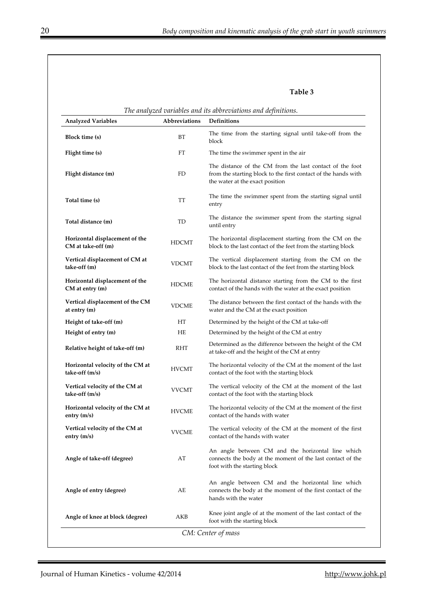### **Table 3**

| <b>Analyzed Variables</b>                            | Abbreviations | <b>Definitions</b>                                                                                                                                            |
|------------------------------------------------------|---------------|---------------------------------------------------------------------------------------------------------------------------------------------------------------|
| Block time (s)                                       | BT            | The time from the starting signal until take-off from the<br>block                                                                                            |
| Flight time (s)                                      | FT            | The time the swimmer spent in the air                                                                                                                         |
| Flight distance (m)                                  | FD            | The distance of the CM from the last contact of the foot<br>from the starting block to the first contact of the hands with<br>the water at the exact position |
| Total time (s)                                       | TT            | The time the swimmer spent from the starting signal until<br>entry                                                                                            |
| Total distance (m)                                   | TD            | The distance the swimmer spent from the starting signal<br>until entry                                                                                        |
| Horizontal displacement of the<br>CM at take-off (m) | <b>HDCMT</b>  | The horizontal displacement starting from the CM on the<br>block to the last contact of the feet from the starting block                                      |
| Vertical displacement of CM at<br>take-off (m)       | VDCMT         | The vertical displacement starting from the CM on the<br>block to the last contact of the feet from the starting block                                        |
| Horizontal displacement of the<br>CM at entry (m)    | <b>HDCME</b>  | The horizontal distance starting from the CM to the first<br>contact of the hands with the water at the exact position                                        |
| Vertical displacement of the CM<br>at entry (m)      | VDCME         | The distance between the first contact of the hands with the<br>water and the CM at the exact position                                                        |
| Height of take-off (m)                               | HT            | Determined by the height of the CM at take-off                                                                                                                |
| Height of entry (m)                                  | HE            | Determined by the height of the CM at entry                                                                                                                   |
| Relative height of take-off (m)                      | <b>RHT</b>    | Determined as the difference between the height of the CM<br>at take-off and the height of the CM at entry                                                    |
| Horizontal velocity of the CM at<br>take-off (m/s)   | <b>HVCMT</b>  | The horizontal velocity of the CM at the moment of the last<br>contact of the foot with the starting block                                                    |
| Vertical velocity of the CM at<br>take-off (m/s)     | <b>VVCMT</b>  | The vertical velocity of the CM at the moment of the last<br>contact of the foot with the starting block                                                      |
| Horizontal velocity of the CM at<br>entry $(m/s)$    | <b>HVCME</b>  | The horizontal velocity of the CM at the moment of the first<br>contact of the hands with water                                                               |
| Vertical velocity of the CM at<br>entry (m/s)        | <b>VVCME</b>  | The vertical velocity of the CM at the moment of the first<br>contact of the hands with water                                                                 |
| Angle of take-off (degree)                           | AT            | An angle between CM and the horizontal line which<br>connects the body at the moment of the last contact of the<br>foot with the starting block               |
| Angle of entry (degree)                              | AE            | An angle between CM and the horizontal line which<br>connects the body at the moment of the first contact of the<br>hands with the water                      |
| Angle of knee at block (degree)                      | AKB           | Knee joint angle of at the moment of the last contact of the<br>foot with the starting block                                                                  |
|                                                      |               | CM: Center of mass                                                                                                                                            |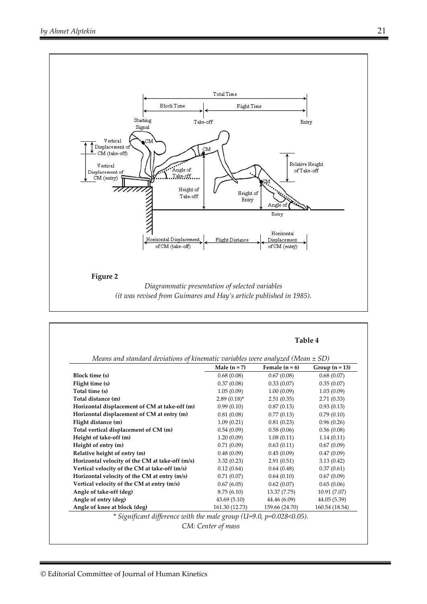

|                                                                                    |                |                  | Table 4          |  |
|------------------------------------------------------------------------------------|----------------|------------------|------------------|--|
| Means and standard deviations of kinematic variables were analyzed (Mean $\pm$ SD) |                |                  |                  |  |
|                                                                                    | Male $(n = 7)$ | Female $(n = 6)$ | Group $(n = 13)$ |  |
| Block time (s)                                                                     | 0.68(0.08)     | 0.67(0.08)       | 0.68(0.07)       |  |
| Flight time (s)                                                                    | 0.37(0.08)     | 0.33(0.07)       | 0.35(0.07)       |  |
| Total time (s)                                                                     | 1.05(0.09)     | 1.00(0.09)       | 1.03(0.09)       |  |
| Total distance (m)                                                                 | $2.89(0.18)^*$ | 2.51(0.35)       | 2.71(0.33)       |  |
| Horizontal displacement of CM at take-off (m)                                      | 0.99(0.10)     | 0.87(0.13)       | 0.93(0.13)       |  |
| Horizontal displacement of CM at entry (m)                                         | 0.81(0.08)     | 0.77(0.13)       | 0.79(0.10)       |  |
| Flight distance (m)                                                                | 1.09(0.21)     | 0.81(0.23)       | 0.96(0.26)       |  |
| Total vertical displacement of CM (m)                                              | 0.54(0.09)     | 0.58(0.06)       | 0.56(0.08)       |  |
| Height of take-off (m)                                                             | 1.20(0.09)     | 1.08(0.11)       | 1.14(0.11)       |  |
| Height of entry (m)                                                                | 0.71(0.09)     | 0.63(0.11)       | 0.67(0.09)       |  |
| Relative height of entry (m)                                                       | 0.48(0.09)     | 0.45(0.09)       | 0.47(0.09)       |  |
| Horizontal velocity of the CM at take-off (m/s)                                    | 3.32(0.23)     | 2.91(0.51)       | 3.13(0.42)       |  |
| Vertical velocity of the CM at take-off (m/s)                                      | 0.12(0.64)     | 0.64(0.48)       | 0.37(0.61)       |  |
| Horizontal velocity of the CM at entry (m/s)                                       | 0.71(0.07)     | 0.64(0.10)       | 0.67(0.09)       |  |
| Vertical velocity of the CM at entry (m/s)                                         | 0.67(6.05)     | 0.62(0.07)       | 0.65(0.06)       |  |
| Angle of take-off (deg)                                                            | 8.75(6.10)     | 13.37(7.75)      | 10.91 (7.07)     |  |
| Angle of entry (deg)                                                               | 43.69(5.10)    | 44.46 (6.09)     | 44.05 (5.39)     |  |
| Angle of knee at block (deg)                                                       | 161.30 (12.73) | 159.66 (24.70)   | 160.54 (18.54)   |  |
| * Significant difference with the male group ( $U=9.0$ , $p=0.028<0.05$ ).         |                |                  |                  |  |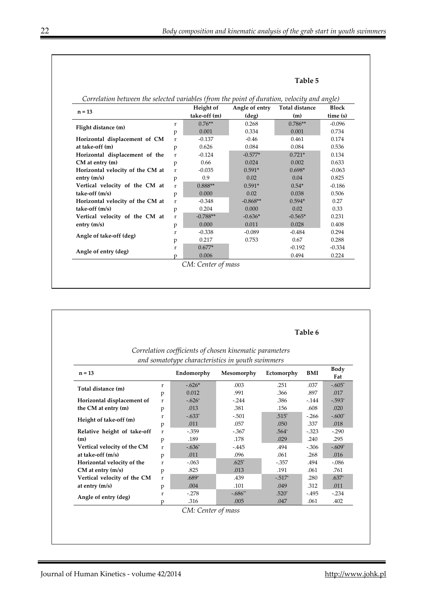| $n = 13$<br>Flight distance (m)<br>Horizontal displacement of CM<br>at take-off (m)<br>Horizontal displacement of the<br>$CM$ at entry $(m)$<br>Horizontal velocity of the CM at | r<br>p<br>$\mathbf{r}$<br>p<br>r<br>p | take-off (m)<br>$0.76**$<br>0.001<br>$-0.137$<br>0.626<br>$-0.124$ | $(\text{deg})$<br>0.268<br>0.334<br>$-0.46$<br>0.084 | (m)<br>$0.786**$<br>0.001<br>0.461<br>0.084 | time (s)<br>$-0.096$<br>0.734<br>0.174 |
|----------------------------------------------------------------------------------------------------------------------------------------------------------------------------------|---------------------------------------|--------------------------------------------------------------------|------------------------------------------------------|---------------------------------------------|----------------------------------------|
|                                                                                                                                                                                  |                                       |                                                                    |                                                      |                                             |                                        |
|                                                                                                                                                                                  |                                       |                                                                    |                                                      |                                             |                                        |
|                                                                                                                                                                                  |                                       |                                                                    |                                                      |                                             |                                        |
|                                                                                                                                                                                  |                                       |                                                                    |                                                      |                                             |                                        |
|                                                                                                                                                                                  |                                       |                                                                    |                                                      |                                             | 0.536                                  |
|                                                                                                                                                                                  |                                       |                                                                    | $-0.577*$                                            | $0.721*$                                    | 0.134                                  |
|                                                                                                                                                                                  |                                       | 0.66                                                               | 0.024                                                | 0.002                                       | 0.633                                  |
|                                                                                                                                                                                  | $\mathbf{r}$                          | $-0.035$                                                           | $0.591*$                                             | $0.698*$                                    | $-0.063$                               |
| entry $(m/s)$                                                                                                                                                                    | p                                     | 0.9                                                                | 0.02                                                 | 0.04                                        | 0.825                                  |
| Vertical velocity of the CM at                                                                                                                                                   | $\mathbf{r}$                          | $0.888**$                                                          | $0.591*$                                             | $0.54*$                                     | $-0.186$                               |
| take-off $(m/s)$                                                                                                                                                                 | p                                     | 0.000                                                              | 0.02                                                 | 0.038                                       | 0.506                                  |
| Horizontal velocity of the CM at                                                                                                                                                 | $\mathbf{r}$                          | $-0.348$                                                           | $-0.868**$                                           | $0.594*$                                    | 0.27                                   |
| take-off $(m/s)$                                                                                                                                                                 | p                                     | 0.204                                                              | 0.000                                                | 0.02                                        | 0.33                                   |
| Vertical velocity of the CM at                                                                                                                                                   | $\mathbf{r}$                          | $-0.788**$                                                         | $-0.636*$                                            | $-0.565*$                                   | 0.231                                  |
| entry $(m/s)$                                                                                                                                                                    | p                                     | 0.000                                                              | 0.011                                                | 0.028                                       | 0.408                                  |
|                                                                                                                                                                                  | r                                     | $-0.338$                                                           | $-0.089$                                             | $-0.484$                                    | 0.294                                  |
| Angle of take-off (deg)                                                                                                                                                          | p                                     | 0.217                                                              | 0.753                                                | 0.67                                        | 0.288                                  |
|                                                                                                                                                                                  | $\mathbf{r}$                          | $0.677*$                                                           |                                                      | $-0.192$                                    | $-0.334$                               |
| Angle of entry (deg)                                                                                                                                                             | p                                     | 0.006                                                              |                                                      | 0.494                                       | 0.224                                  |

#### **Table 5**

#### **Table 6**

# *Correlation coefficients of chosen kinematic parameters and somatotype characteristics in youth swimmers*

| $n = 13$                    |              | Endomorphy | Mesomorphy | Ectomorphy | BMI      | Body<br>Fat |  |  |
|-----------------------------|--------------|------------|------------|------------|----------|-------------|--|--|
|                             | r            | $-.626*$   | .003       | .251       | .037     | $-.605*$    |  |  |
| Total distance (m)          | p            | 0.012      | .991       | .366       | .897     | .017        |  |  |
| Horizontal displacement of  | $\mathbf{r}$ | $-.626*$   | $-244$     | .386       | $-144$   | $-.593*$    |  |  |
| the CM at entry (m)         | p            | .013       | .381       | .156       | .608     | .020        |  |  |
| Height of take-off (m)      | r            | $-.633*$   | $-.501$    | .515*      | $-266$   | $-.600*$    |  |  |
|                             | p            | .011       | .057       | .050       | .337     | .018        |  |  |
| Relative height of take-off | $\mathbf{r}$ | $-.359$    | $-.367$    | $.564*$    | $-0.323$ | $-.290$     |  |  |
| (m)                         | p            | .189       | .178       | .029       | .240     | .295        |  |  |
| Vertical velocity of the CM | $\mathbf{r}$ | $-.636*$   | $-445$     | .494       | $-0.306$ | $-.609*$    |  |  |
| at take-off (m/s)           | p            | .011       | .096       | .061       | .268     | .016        |  |  |
| Horizontal velocity of the  | $\mathbf r$  | $-.063$    | $.625*$    | $-.357$    | .494     | $-.086$     |  |  |
| $CM$ at entry $(m/s)$       | p            | .825       | .013       | .191       | .061     | .761        |  |  |
| Vertical velocity of the CM | $\mathbf{r}$ | $.689*$    | .439       | $-.517*$   | .280     | $.637*$     |  |  |
| at entry $(m/s)$            | p            | .004       | .101       | .049       | .312     | .011        |  |  |
|                             | r            | $-.278$    | $-.686**$  | $.520*$    | $-495$   | $-.234$     |  |  |
| Angle of entry (deg)        | p            | .316       | .005       | .047       | .061     | .402        |  |  |
| CM: Center of mass          |              |            |            |            |          |             |  |  |
|                             |              |            |            |            |          |             |  |  |
|                             |              |            |            |            |          |             |  |  |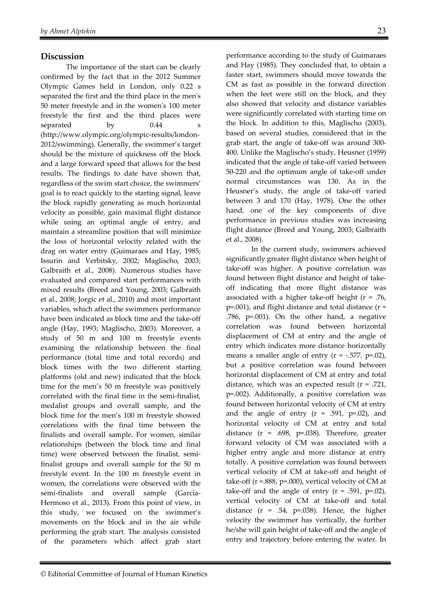# **Discussion**

The importance of the start can be clearly confirmed by the fact that in the 2012 Summer Olympic Games held in London, only 0.22 s separated the first and the third place in the men's 50 meter freestyle and in the women's 100 meter freestyle the first and the third places were separated by 0.44 s (http://www.olympic.org/olympic-results/london-2012/swimming). Generally, the swimmer's target should be the mixture of quickness off the block and a large forward speed that allows for the best results. The findings to date have shown that, regardless of the swim start choice, the swimmers' goal is to react quickly to the starting signal, leave the block rapidly generating as much horizontal velocity as possible, gain maximal flight distance while using an optimal angle of entry, and maintain a streamline position that will minimize the loss of horizontal velocity related with the drag on water entry (Guimaraes and Hay, 1985; Issurin and Verbitsky, 2002; Maglischo, 2003; Galbraith et al., 2008). Numerous studies have evaluated and compared start performances with mixed results (Breed and Young, 2003; Galbraith et al., 2008; Jorgic et al., 2010) and most important variables, which affect the swimmers performance have been indicated as block time and the take-off angle (Hay, 1993; Maglischo, 2003). Moreover, a study of 50 m and 100 m freestyle events examining the relationship between the final performance (total time and total records) and block times with the two different starting platforms (old and new) indicated that the block time for the men's 50 m freestyle was positively correlated with the final time in the semi-finalist, medalist groups and overall sample, and the block time for the men's 100 m freestyle showed correlations with the final time between the finalists and overall sample. For women, similar relationships (between the block time and final time) were observed between the finalist, semifinalist groups and overall sample for the 50 m freestyle event. In the 100 m freestyle event in women, the correlations were observed with the semi-finalists and overall sample (Garcia-Hermoso et al., 2013). From this point of view, in this study, we focused on the swimmer's movements on the block and in the air while performing the grab start. The analysis consisted of the parameters which affect grab start

performance according to the study of Guimaraes and Hay (1985). They concluded that, to obtain a faster start, swimmers should move towards the CM as fast as possible in the forward direction when the feet were still on the block, and they also showed that velocity and distance variables were significantly correlated with starting time on the block. In addition to this, Maglischo (2003), based on several studies, considered that in the grab start, the angle of take-off was around 300- 400. Unlike the Maglischo's study, Heusner (1959) indicated that the angle of take-off varied between 50-220 and the optimum angle of take-off under normal circumstances was 130. As in the Heusner's study, the angle of take-off varied between 3 and 170 (Hay, 1978). One the other hand, one of the key components of dive performance in previous studies was increasing flight distance (Breed and Young, 2003; Galbraith et al., 2008).

In the current study, swimmers achieved significantly greater flight distance when height of take-off was higher. A positive correlation was found between flight distance and height of takeoff indicating that more flight distance was associated with a higher take-off height (r = .76, p=.001), and flight distance and total distance (r = .786, p=.001). On the other hand, a negative correlation was found between horizontal displacement of CM at entry and the angle of entry which indicates more distance horizontally means a smaller angle of entry  $(r = -.577, p=.02)$ , but a positive correlation was found between horizontal displacement of CM at entry and total distance, which was an expected result  $(r = .721)$ , p=.002). Additionally, a positive correlation was found between horizontal velocity of CM at entry and the angle of entry  $(r = .591, p = .02)$ , and horizontal velocity of CM at entry and total distance  $(r = .698, p = .038)$ . Therefore, greater forward velocity of CM was associated with a higher entry angle and more distance at entry totally. A positive correlation was found between vertical velocity of CM at take-off and height of take-off ( $r = .888$ ,  $p = .000$ ), vertical velocity of CM at take-off and the angle of entry  $(r = .591, p = .02)$ , vertical velocity of CM at take-off and total distance  $(r = .54, p=.038)$ . Hence, the higher velocity the swimmer has vertically, the further he/she will gain height of take-off and the angle of entry and trajectory before entering the water. In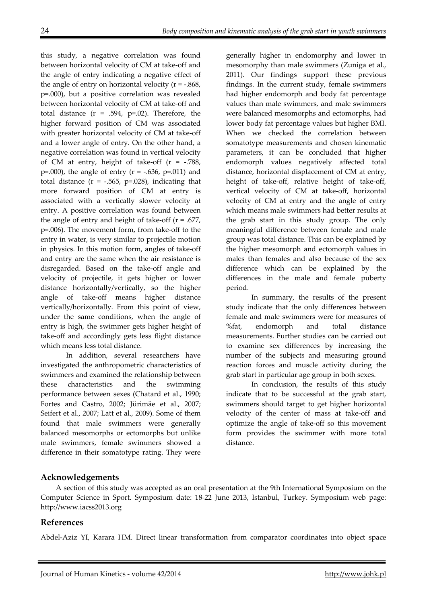this study, a negative correlation was found between horizontal velocity of CM at take-off and the angle of entry indicating a negative effect of the angle of entry on horizontal velocity  $(r = -.868, ...)$ p=.000), but a positive correlation was revealed between horizontal velocity of CM at take-off and total distance  $(r = .594, p = .02)$ . Therefore, the higher forward position of CM was associated with greater horizontal velocity of CM at take-off and a lower angle of entry. On the other hand, a negative correlation was found in vertical velocity of CM at entry, height of take-off  $(r = -0.788)$ , p=.000), the angle of entry ( $r = -.636$ ,  $p = .011$ ) and total distance  $(r = -.565, p = .028)$ , indicating that more forward position of CM at entry is associated with a vertically slower velocity at entry. A positive correlation was found between the angle of entry and height of take-off  $(r = .677)$ , p=.006). The movement form, from take-off to the entry in water, is very similar to projectile motion in physics. In this motion form, angles of take-off and entry are the same when the air resistance is disregarded. Based on the take-off angle and velocity of projectile, it gets higher or lower distance horizontally/vertically, so the higher angle of take-off means higher distance vertically/horizontally. From this point of view, under the same conditions, when the angle of entry is high, the swimmer gets higher height of take-off and accordingly gets less flight distance which means less total distance.

In addition, several researchers have investigated the anthropometric characteristics of swimmers and examined the relationship between these characteristics and the swimming performance between sexes (Chatard et al., 1990; Fortes and Castro, 2002; Jürimäe et al., 2007; Seifert et al., 2007; Latt et al., 2009). Some of them found that male swimmers were generally balanced mesomorphs or ectomorphs but unlike male swimmers, female swimmers showed a difference in their somatotype rating. They were generally higher in endomorphy and lower in mesomorphy than male swimmers (Zuniga et al., 2011). Our findings support these previous findings. In the current study, female swimmers had higher endomorph and body fat percentage values than male swimmers, and male swimmers were balanced mesomorphs and ectomorphs, had lower body fat percentage values but higher BMI. When we checked the correlation between somatotype measurements and chosen kinematic parameters, it can be concluded that higher endomorph values negatively affected total distance, horizontal displacement of CM at entry, height of take-off, relative height of take-off, vertical velocity of CM at take-off, horizontal velocity of CM at entry and the angle of entry which means male swimmers had better results at the grab start in this study group. The only meaningful difference between female and male group was total distance. This can be explained by the higher mesomorph and ectomorph values in males than females and also because of the sex difference which can be explained by the differences in the male and female puberty period.

In summary, the results of the present study indicate that the only differences between female and male swimmers were for measures of %fat, endomorph and total distance measurements. Further studies can be carried out to examine sex differences by increasing the number of the subjects and measuring ground reaction forces and muscle activity during the grab start in particular age group in both sexes.

In conclusion, the results of this study indicate that to be successful at the grab start, swimmers should target to get higher horizontal velocity of the center of mass at take-off and optimize the angle of take-off so this movement form provides the swimmer with more total distance.

# **Acknowledgements**

A section of this study was accepted as an oral presentation at the 9th International Symposium on the Computer Science in Sport. Symposium date: 18-22 June 2013, Istanbul, Turkey. Symposium web page: http://www.iacss2013.org

# **References**

Abdel-Aziz YI, Karara HM. Direct linear transformation from comparator coordinates into object space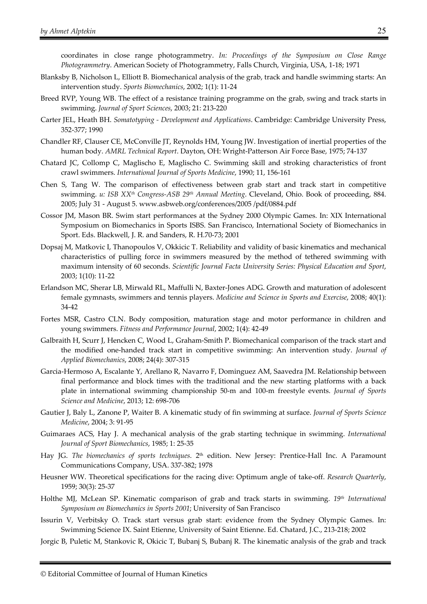coordinates in close range photogrammetry. *In: Proceedings of the Symposium on Close Range Photogrammetry*. American Society of Photogrammetry, Falls Church, Virginia, USA, 1-18; 1971

- Blanksby B, Nicholson L, Elliott B. Biomechanical analysis of the grab, track and handle swimming starts: An intervention study. *Sports Biomechanics*, 2002; 1(1): 11-24
- Breed RVP, Young WB. The effect of a resistance training programme on the grab, swing and track starts in swimming. *Journal of Sport Sciences*, 2003; 21: 213-220
- Carter JEL, Heath BH. *Somatotyping Development and Applications*. Cambridge: Cambridge University Press, 352-377; 1990
- Chandler RF, Clauser CE, McConville JT, Reynolds HM, Young JW. Investigation of inertial properties of the human body. *AMRL Technical Report*. Dayton, OH: Wright-Patterson Air Force Base, 1975; 74-137
- Chatard JC, Collomp C, Maglischo E, Maglischo C. Swimming skill and stroking characteristics of front crawl swimmers. *International Journal of Sports Medicine*, 1990; 11, 156-161
- Chen S, Tang W. The comparison of effectiveness between grab start and track start in competitive swimming. *u: ISB XXth Congress-ASB 29th Annual Meeting*. Cleveland, Ohio. Book of proceeding, 884. 2005; July 31 - August 5. www.asbweb.org/conferences/2005 /pdf/0884.pdf
- Cossor JM, Mason BR. Swim start performances at the Sydney 2000 Olympic Games. In: XIX International Symposium on Biomechanics in Sports ISBS. San Francisco, International Society of Biomechanics in Sport. Eds. Blackwell, J. R. and Sanders, R. H.70-73; 2001
- Dopsaj M, Matkovic I, Thanopoulos V, Okkicic T. Reliability and validity of basic kinematics and mechanical characteristics of pulling force in swimmers measured by the method of tethered swimming with maximum intensity of 60 seconds. *Scientific Journal Facta University Series: Physical Education and Sport*, 2003; 1(10): 11-22
- Erlandson MC, Sherar LB, Mirwald RL, Maffulli N, Baxter-Jones ADG. Growth and maturation of adolescent female gymnasts, swimmers and tennis players. *Medicine and Science in Sports and Exercise*, 2008; 40(1): 34-42
- Fortes MSR, Castro CLN. Body composition, maturation stage and motor performance in children and young swimmers. *Fitness and Performance Journal*, 2002; 1(4): 42-49
- Galbraith H, Scurr J, Hencken C, Wood L, Graham-Smith P. Biomechanical comparison of the track start and the modified one-handed track start in competitive swimming: An intervention study. *Journal of Applied Biomechanics*, 2008; 24(4): 307-315
- Garcia-Hermoso A, Escalante Y, Arellano R, Navarro F, Dominguez AM, Saavedra JM. Relationship between final performance and block times with the traditional and the new starting platforms with a back plate in international swimming championship 50-m and 100-m freestyle events. *Journal of Sports Science and Medicine*, 2013; 12: 698-706
- Gautier J, Baly L, Zanone P, Waiter B. A kinematic study of fin swimming at surface. *Journal of Sports Science Medicine*, 2004; 3: 91-95
- Guimaraes ACS, Hay J. A mechanical analysis of the grab starting technique in swimming. *International Journal of Sport Biomechanics*, 1985; 1: 25-35
- Hay JG. *The biomechanics of sports techniques*. 2<sup>th</sup> edition. New Jersey: Prentice-Hall Inc. A Paramount Communications Company, USA. 337-382; 1978
- Heusner WW. Theoretical specifications for the racing dive: Optimum angle of take-off. *Research Quarterly*, 1959; 30(3): 25-37
- Holthe MJ, McLean SP. Kinematic comparison of grab and track starts in swimming. *19th International Symposium on Biomechanics in Sports 2001*; University of San Francisco
- Issurin V, Verbitsky O. Track start versus grab start: evidence from the Sydney Olympic Games. In: Swimming Science IX. Saint Etienne, University of Saint Etienne. Ed. Chatard, J.C., 213-218; 2002
- Jorgic B, Puletic M, Stankovic R, Okicic T, Bubanj S, Bubanj R. The kinematic analysis of the grab and track